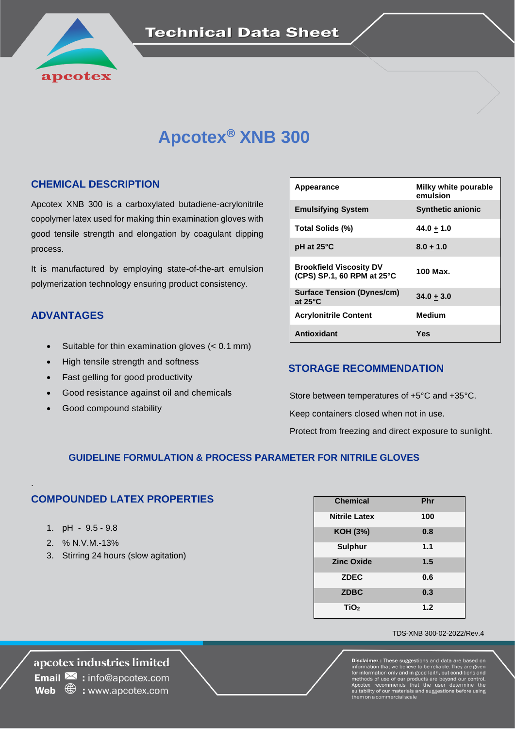

# **Apcotex<sup>®</sup> XNB 300**

### **CHEMICAL DESCRIPTION**

Apcotex XNB 300 is a carboxylated butadiene-acrylonitrile copolymer latex used for making thin examination gloves with good tensile strength and elongation by coagulant dipping process.

It is manufactured by employing state-of-the-art emulsion polymerization technology ensuring product consistency.

### **ADVANTAGES**

- Suitable for thin examination gloves (< 0.1 mm)
- High tensile strength and softness
- Fast gelling for good productivity
- Good resistance against oil and chemicals
- Good compound stability

| Appearance                                                             | Milky white pourable<br>emulsion |
|------------------------------------------------------------------------|----------------------------------|
| <b>Emulsifying System</b>                                              | <b>Synthetic anionic</b>         |
| Total Solids (%)                                                       | 44.0 + 1.0                       |
| $pH$ at 25 $\degree$ C                                                 | $8.0 + 1.0$                      |
| <b>Brookfield Viscosity DV</b><br>(CPS) SP.1, 60 RPM at $25^{\circ}$ C | 100 Max.                         |
| <b>Surface Tension (Dynes/cm)</b><br>at $25^{\circ}$ C                 | $34.0 + 3.0$                     |
| <b>Acrylonitrile Content</b>                                           | <b>Medium</b>                    |
| <b>Antioxidant</b>                                                     | Yes                              |

### **STORAGE RECOMMENDATION**

 Store between temperatures of +5°C and +35°C. Keep containers closed when not in use. Protect from freezing and direct exposure to sunlight.

### **GUIDELINE FORMULATION & PROCESS PARAMETER FOR NITRILE GLOVES**

### **COMPOUNDED LATEX PROPERTIES**

1. pH - 9.5 - 9.8

.

- 2. % N.V.M.-13%
- 3. Stirring 24 hours (slow agitation)

| <b>Chemical</b>      | Phr |
|----------------------|-----|
| <b>Nitrile Latex</b> | 100 |
| <b>KOH (3%)</b>      | 0.8 |
| <b>Sulphur</b>       | 1.1 |
| <b>Zinc Oxide</b>    | 1.5 |
| <b>ZDEC</b>          | 0.6 |
| <b>ZDBC</b>          | 0.3 |
| TiO <sub>2</sub>     | 1.2 |

#### TDS-XNB 300-02-2022/Rev.4

**Disclaimer: The Example:** These suggestions and using the information that we believe to be reliable. They are given for information only and in good faith, but conditions and methods of use of our products are beyond our control. Apcote

## apcotex industries limited

**Email**  $\mathbf{\Sigma}$  : info@apcotex.com **Web**  $\oplus$  : www.apcotex.com